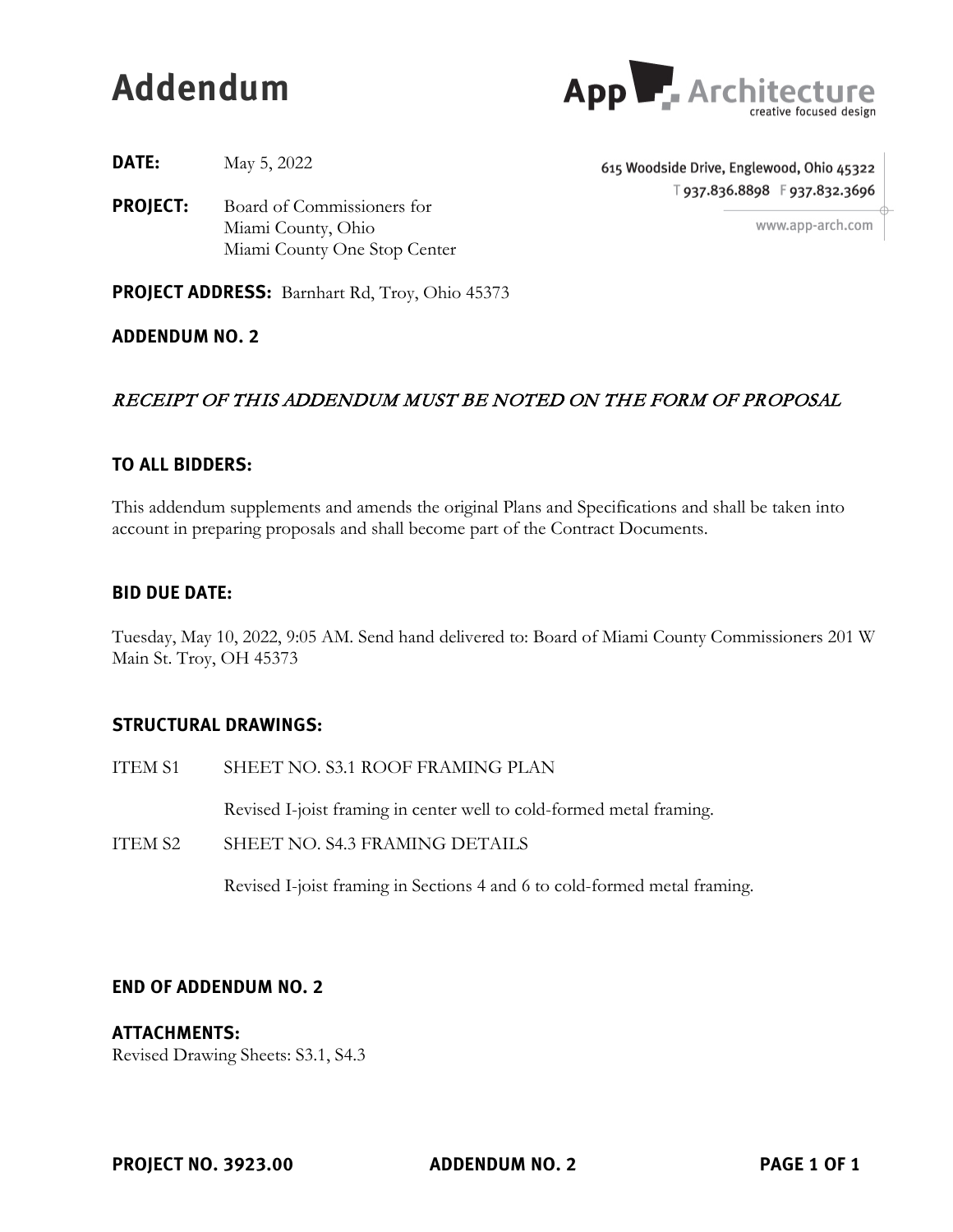# **Addendum**



**DATE:** May 5, 2022

**PROJECT:** Board of Commissioners for Miami County, Ohio Miami County One Stop Center 615 Woodside Drive, Englewood, Ohio 45322 T937.836.8898 F937.832.3696

www.app-arch.com

**PROJECT ADDRESS:** Barnhart Rd, Troy, Ohio 45373

**ADDENDUM NO. 2**

# RECEIPT OF THIS ADDENDUM MUST BE NOTED ON THE FORM OF PROPOSAL

# **TO ALL BIDDERS:**

This addendum supplements and amends the original Plans and Specifications and shall be taken into account in preparing proposals and shall become part of the Contract Documents.

#### **BID DUE DATE:**

Tuesday, May 10, 2022, 9:05 AM. Send hand delivered to: Board of Miami County Commissioners 201 W Main St. Troy, OH 45373

# **STRUCTURAL DRAWINGS:**

ITEM S1 SHEET NO. S3.1 ROOF FRAMING PLAN

Revised I-joist framing in center well to cold-formed metal framing.

ITEM S2 SHEET NO. S4.3 FRAMING DETAILS

Revised I-joist framing in Sections 4 and 6 to cold-formed metal framing.

# **END OF ADDENDUM NO. 2**

#### **ATTACHMENTS:**

Revised Drawing Sheets: S3.1, S4.3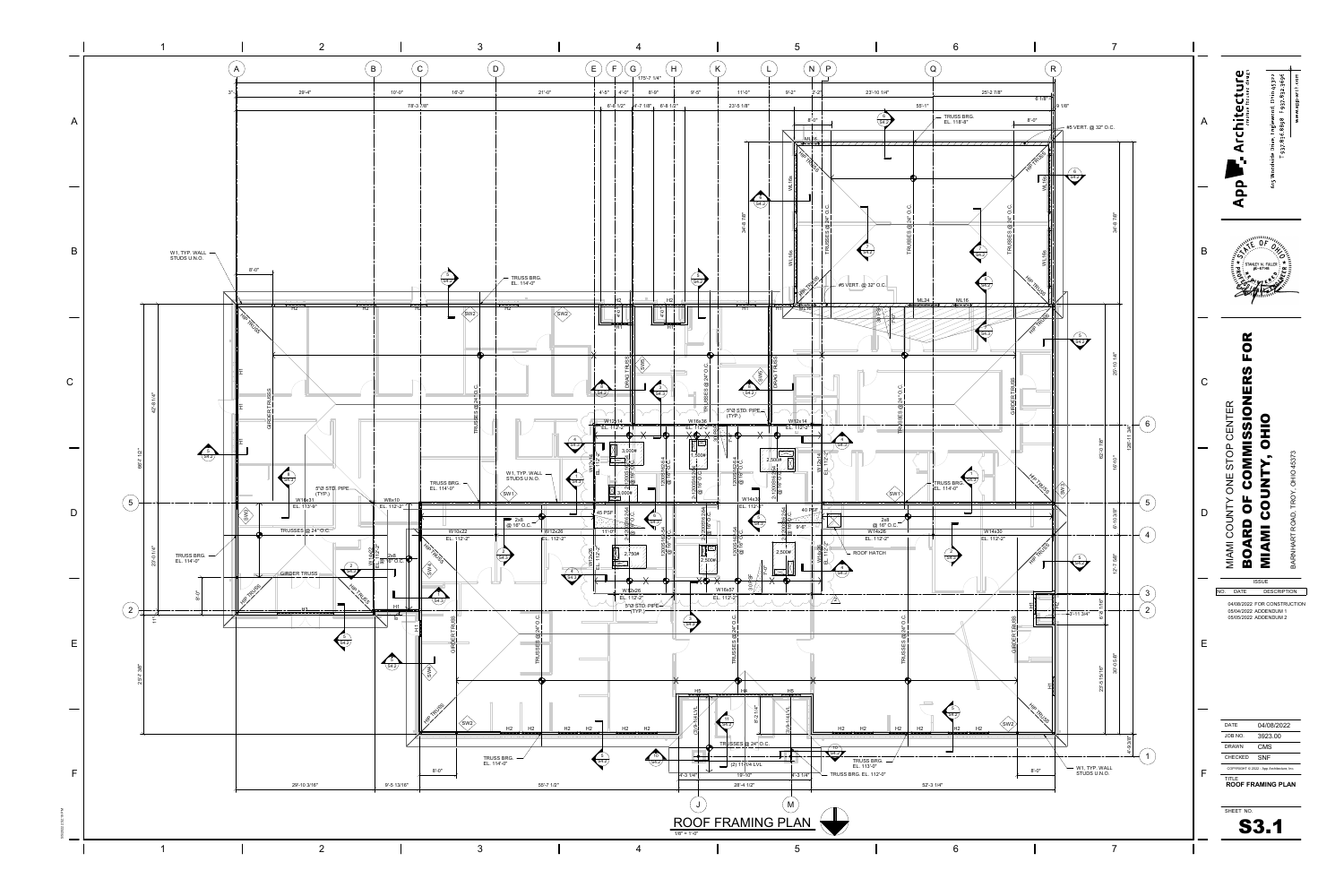